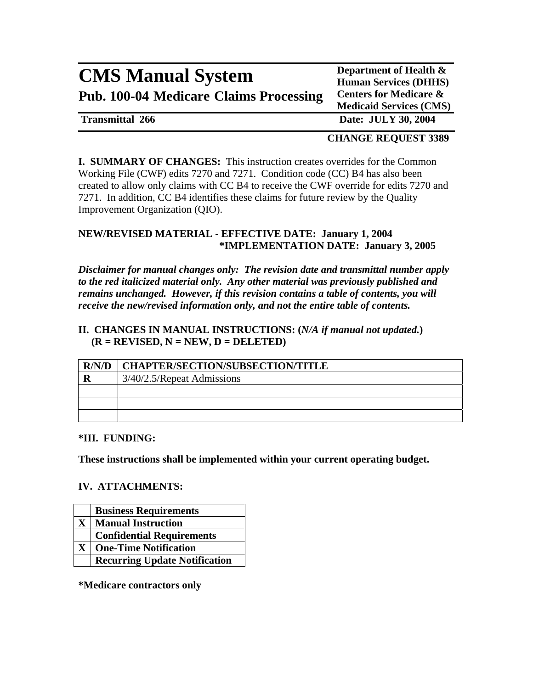# **CMS Manual System** Department of Health & **Pub. 100-04 Medicare Claims Processing Centers for Medicare &**

**Human Services (DHHS) Medicaid Services (CMS)**

**Transmittal 266 Date: JULY 30, 2004** 

### **CHANGE REQUEST 3389**

**I. SUMMARY OF CHANGES:** This instruction creates overrides for the Common Working File (CWF) edits 7270 and 7271. Condition code (CC) B4 has also been created to allow only claims with CC B4 to receive the CWF override for edits 7270 and 7271. In addition, CC B4 identifies these claims for future review by the Quality Improvement Organization (QIO).

### **NEW/REVISED MATERIAL - EFFECTIVE DATE: January 1, 2004 \*IMPLEMENTATION DATE: January 3, 2005**

*Disclaimer for manual changes only: The revision date and transmittal number apply to the red italicized material only. Any other material was previously published and remains unchanged. However, if this revision contains a table of contents, you will receive the new/revised information only, and not the entire table of contents.* 

### **II. CHANGES IN MANUAL INSTRUCTIONS: (***N/A if manual not updated.***)**   $(R = REVISED, N = NEW, D = DELETED)$

| R/N/D | CHAPTER/SECTION/SUBSECTION/TITLE |  |
|-------|----------------------------------|--|
|       | 3/40/2.5/Repeat Admissions       |  |
|       |                                  |  |
|       |                                  |  |
|       |                                  |  |

#### **\*III. FUNDING:**

**These instructions shall be implemented within your current operating budget.** 

### **IV. ATTACHMENTS:**

|              | <b>Business Requirements</b>         |
|--------------|--------------------------------------|
| $\mathbf{X}$ | <b>Manual Instruction</b>            |
|              | <b>Confidential Requirements</b>     |
| X            | <b>One-Time Notification</b>         |
|              | <b>Recurring Update Notification</b> |

**\*Medicare contractors only**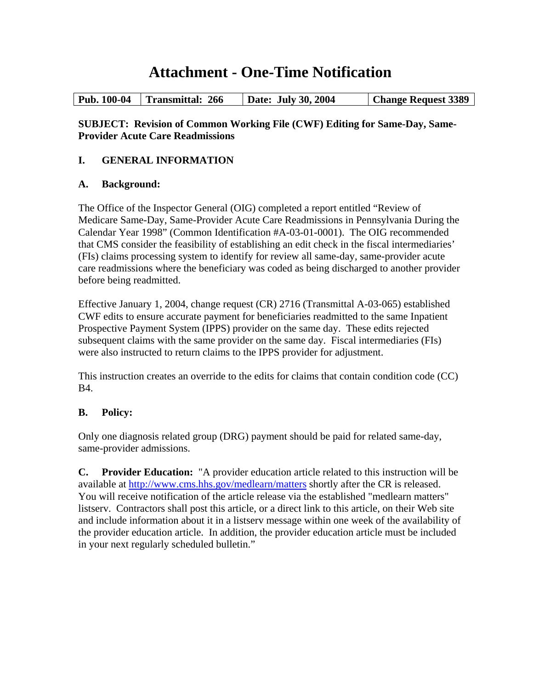# **Attachment - One-Time Notification**

### **SUBJECT: Revision of Common Working File (CWF) Editing for Same-Day, Same-Provider Acute Care Readmissions**

## **I. GENERAL INFORMATION**

### **A. Background:**

The Office of the Inspector General (OIG) completed a report entitled "Review of Medicare Same-Day, Same-Provider Acute Care Readmissions in Pennsylvania During the Calendar Year 1998" (Common Identification #A-03-01-0001). The OIG recommended that CMS consider the feasibility of establishing an edit check in the fiscal intermediaries' (FIs) claims processing system to identify for review all same-day, same-provider acute care readmissions where the beneficiary was coded as being discharged to another provider before being readmitted.

Effective January 1, 2004, change request (CR) 2716 (Transmittal A-03-065) established CWF edits to ensure accurate payment for beneficiaries readmitted to the same Inpatient Prospective Payment System (IPPS) provider on the same day. These edits rejected subsequent claims with the same provider on the same day. Fiscal intermediaries (FIs) were also instructed to return claims to the IPPS provider for adjustment.

This instruction creates an override to the edits for claims that contain condition code (CC) B4.

# **B. Policy:**

Only one diagnosis related group (DRG) payment should be paid for related same-day, same-provider admissions.

**C. Provider Education:** "A provider education article related to this instruction will be available at<http://www.cms.hhs.gov/medlearn/matters> shortly after the CR is released. You will receive notification of the article release via the established "medlearn matters" listserv. Contractors shall post this article, or a direct link to this article, on their Web site and include information about it in a listserv message within one week of the availability of the provider education article. In addition, the provider education article must be included in your next regularly scheduled bulletin."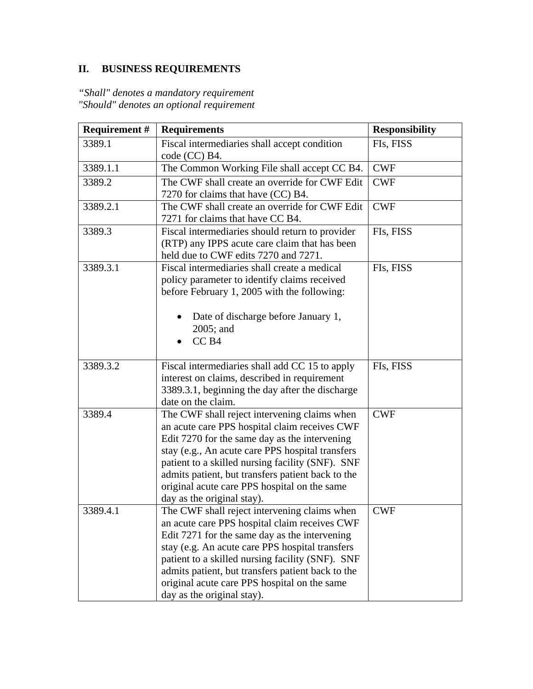# **II. BUSINESS REQUIREMENTS**

*"Shall" denotes a mandatory requirement "Should" denotes an optional requirement* 

| <b>Requirement #</b> | <b>Requirements</b>                                                                                                                                                                                                                                                                                                                                                                                             | <b>Responsibility</b> |
|----------------------|-----------------------------------------------------------------------------------------------------------------------------------------------------------------------------------------------------------------------------------------------------------------------------------------------------------------------------------------------------------------------------------------------------------------|-----------------------|
| 3389.1               | Fiscal intermediaries shall accept condition<br>code (CC) B4.                                                                                                                                                                                                                                                                                                                                                   | FIs, FISS             |
| 3389.1.1             | The Common Working File shall accept CC B4.                                                                                                                                                                                                                                                                                                                                                                     | <b>CWF</b>            |
| 3389.2               | The CWF shall create an override for CWF Edit<br>7270 for claims that have (CC) B4.                                                                                                                                                                                                                                                                                                                             | <b>CWF</b>            |
| 3389.2.1             | The CWF shall create an override for CWF Edit<br>7271 for claims that have CC B4.                                                                                                                                                                                                                                                                                                                               | <b>CWF</b>            |
| 3389.3               | Fiscal intermediaries should return to provider<br>(RTP) any IPPS acute care claim that has been<br>held due to CWF edits 7270 and 7271.                                                                                                                                                                                                                                                                        | FIs, FISS             |
| 3389.3.1             | Fiscal intermediaries shall create a medical<br>policy parameter to identify claims received<br>before February 1, 2005 with the following:<br>Date of discharge before January 1,<br>2005; and<br>CC <sub>B4</sub>                                                                                                                                                                                             | FIs, FISS             |
| 3389.3.2             | Fiscal intermediaries shall add CC 15 to apply<br>interest on claims, described in requirement<br>3389.3.1, beginning the day after the discharge                                                                                                                                                                                                                                                               | FIs, FISS             |
| 3389.4               | date on the claim.<br>The CWF shall reject intervening claims when<br>an acute care PPS hospital claim receives CWF<br>Edit 7270 for the same day as the intervening<br>stay (e.g., An acute care PPS hospital transfers<br>patient to a skilled nursing facility (SNF). SNF<br>admits patient, but transfers patient back to the<br>original acute care PPS hospital on the same<br>day as the original stay). | <b>CWF</b>            |
| 3389.4.1             | The CWF shall reject intervening claims when<br>an acute care PPS hospital claim receives CWF<br>Edit 7271 for the same day as the intervening<br>stay (e.g. An acute care PPS hospital transfers<br>patient to a skilled nursing facility (SNF). SNF<br>admits patient, but transfers patient back to the<br>original acute care PPS hospital on the same<br>day as the original stay).                        | <b>CWF</b>            |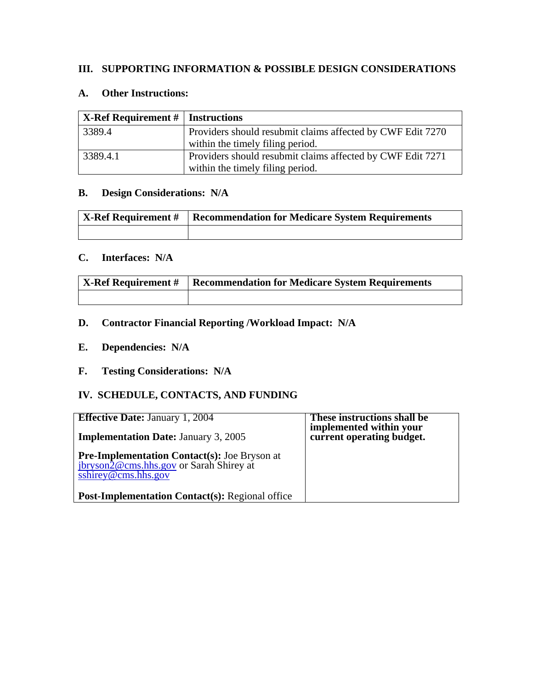### **III. SUPPORTING INFORMATION & POSSIBLE DESIGN CONSIDERATIONS**

#### **A. Other Instructions:**

| $\vert$ X-Ref Requirement #   Instructions |                                                            |
|--------------------------------------------|------------------------------------------------------------|
| 3389.4                                     | Providers should resubmit claims affected by CWF Edit 7270 |
|                                            | within the timely filing period.                           |
| 3389.4.1                                   | Providers should resubmit claims affected by CWF Edit 7271 |
|                                            | within the timely filing period.                           |

# **B. Design Considerations: N/A**

| X-Ref Requirement #   Recommendation for Medicare System Requirements |
|-----------------------------------------------------------------------|
|                                                                       |

### **C. Interfaces: N/A**

| X-Ref Requirement #   Recommendation for Medicare System Requirements |
|-----------------------------------------------------------------------|
|                                                                       |

# **D. Contractor Financial Reporting /Workload Impact: N/A**

- **E. Dependencies: N/A**
- **F. Testing Considerations: N/A**

## **IV. SCHEDULE, CONTACTS, AND FUNDING**

| <b>Effective Date: January 1, 2004</b><br><b>Implementation Date: January 3, 2005</b>                                                              | These instructions shall be<br>implemented within your<br>current operating budget. |
|----------------------------------------------------------------------------------------------------------------------------------------------------|-------------------------------------------------------------------------------------|
| <b>Pre-Implementation Contact(s):</b> Joe Bryson at <i>jbryson2@cms.hhs.gov</i> or Sarah Shirey at<br>$\overline{\text{shirey}\omega}$ cms.hhs.gov |                                                                                     |
| <b>Post-Implementation Contact(s): Regional office</b>                                                                                             |                                                                                     |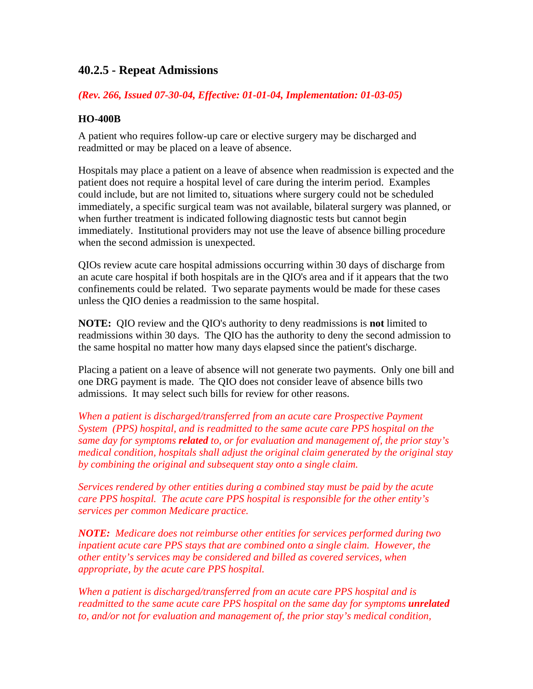# **40.2.5 - Repeat Admissions**

### *(Rev. 266, Issued 07-30-04, Effective: 01-01-04, Implementation: 01-03-05)*

### **HO-400B**

A patient who requires follow-up care or elective surgery may be discharged and readmitted or may be placed on a leave of absence.

Hospitals may place a patient on a leave of absence when readmission is expected and the patient does not require a hospital level of care during the interim period. Examples could include, but are not limited to, situations where surgery could not be scheduled immediately, a specific surgical team was not available, bilateral surgery was planned, or when further treatment is indicated following diagnostic tests but cannot begin immediately. Institutional providers may not use the leave of absence billing procedure when the second admission is unexpected.

QIOs review acute care hospital admissions occurring within 30 days of discharge from an acute care hospital if both hospitals are in the QIO's area and if it appears that the two confinements could be related. Two separate payments would be made for these cases unless the QIO denies a readmission to the same hospital.

**NOTE:** QIO review and the QIO's authority to deny readmissions is **not** limited to readmissions within 30 days. The QIO has the authority to deny the second admission to the same hospital no matter how many days elapsed since the patient's discharge.

Placing a patient on a leave of absence will not generate two payments. Only one bill and one DRG payment is made. The QIO does not consider leave of absence bills two admissions. It may select such bills for review for other reasons.

*When a patient is discharged/transferred from an acute care Prospective Payment System (PPS) hospital, and is readmitted to the same acute care PPS hospital on the same day for symptoms related to, or for evaluation and management of, the prior stay's medical condition, hospitals shall adjust the original claim generated by the original stay by combining the original and subsequent stay onto a single claim.* 

*Services rendered by other entities during a combined stay must be paid by the acute care PPS hospital. The acute care PPS hospital is responsible for the other entity's services per common Medicare practice.* 

*NOTE: Medicare does not reimburse other entities for services performed during two inpatient acute care PPS stays that are combined onto a single claim. However, the other entity's services may be considered and billed as covered services, when appropriate, by the acute care PPS hospital.* 

*When a patient is discharged/transferred from an acute care PPS hospital and is readmitted to the same acute care PPS hospital on the same day for symptoms unrelated to, and/or not for evaluation and management of, the prior stay's medical condition,*